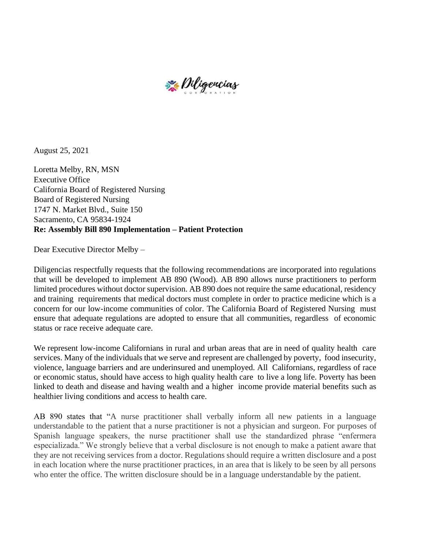

August 25, 2021

Loretta Melby, RN, MSN Executive Office California Board of Registered Nursing Board of Registered Nursing 1747 N. Market Blvd., Suite 150 Sacramento, CA 95834-1924 **Re: Assembly Bill 890 Implementation – Patient Protection** 

Dear Executive Director Melby –

Diligencias respectfully requests that the following recommendations are incorporated into regulations that will be developed to implement AB 890 (Wood). AB 890 allows nurse practitioners to perform limited procedures without doctor supervision. AB 890 does not require the same educational, residency and training requirements that medical doctors must complete in order to practice medicine which is a concern for our low-income communities of color. The California Board of Registered Nursing must ensure that adequate regulations are adopted to ensure that all communities, regardless of economic status or race receive adequate care.

We represent low-income Californians in rural and urban areas that are in need of quality health care services. Many of the individuals that we serve and represent are challenged by poverty, food insecurity, violence, language barriers and are underinsured and unemployed. All Californians, regardless of race or economic status, should have access to high quality health care to live a long life. Poverty has been linked to death and disease and having wealth and a higher income provide material benefits such as healthier living conditions and access to health care.

AB 890 states that "A nurse practitioner shall verbally inform all new patients in a language understandable to the patient that a nurse practitioner is not a physician and surgeon. For purposes of Spanish language speakers, the nurse practitioner shall use the standardized phrase "enfermera especializada." We strongly believe that a verbal disclosure is not enough to make a patient aware that they are not receiving services from a doctor. Regulations should require a written disclosure and a post in each location where the nurse practitioner practices, in an area that is likely to be seen by all persons who enter the office. The written disclosure should be in a language understandable by the patient.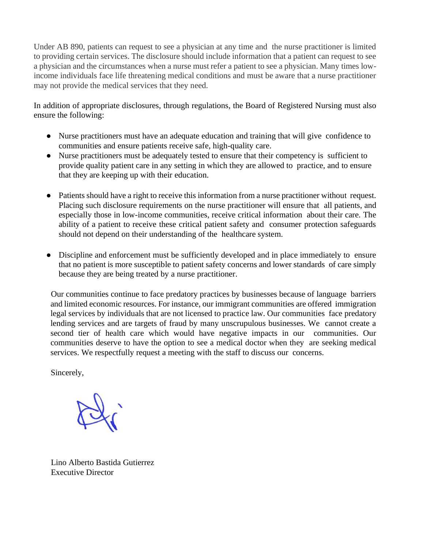Under AB 890, patients can request to see a physician at any time and the nurse practitioner is limited to providing certain services. The disclosure should include information that a patient can request to see a physician and the circumstances when a nurse must refer a patient to see a physician. Many times lowincome individuals face life threatening medical conditions and must be aware that a nurse practitioner may not provide the medical services that they need.

In addition of appropriate disclosures, through regulations, the Board of Registered Nursing must also ensure the following:

- Nurse practitioners must have an adequate education and training that will give confidence to communities and ensure patients receive safe, high-quality care.
- Nurse practitioners must be adequately tested to ensure that their competency is sufficient to provide quality patient care in any setting in which they are allowed to practice, and to ensure that they are keeping up with their education.
- Patients should have a right to receive this information from a nurse practitioner without request. Placing such disclosure requirements on the nurse practitioner will ensure that all patients, and especially those in low-income communities, receive critical information about their care. The ability of a patient to receive these critical patient safety and consumer protection safeguards should not depend on their understanding of the healthcare system.
- Discipline and enforcement must be sufficiently developed and in place immediately to ensure that no patient is more susceptible to patient safety concerns and lower standards of care simply because they are being treated by a nurse practitioner.

Our communities continue to face predatory practices by businesses because of language barriers and limited economic resources. For instance, our immigrant communities are offered immigration legal services by individuals that are not licensed to practice law. Our communities face predatory lending services and are targets of fraud by many unscrupulous businesses. We cannot create a second tier of health care which would have negative impacts in our communities. Our communities deserve to have the option to see a medical doctor when they are seeking medical services. We respectfully request a meeting with the staff to discuss our concerns.

Sincerely,

Lino Alberto Bastida Gutierrez Executive Director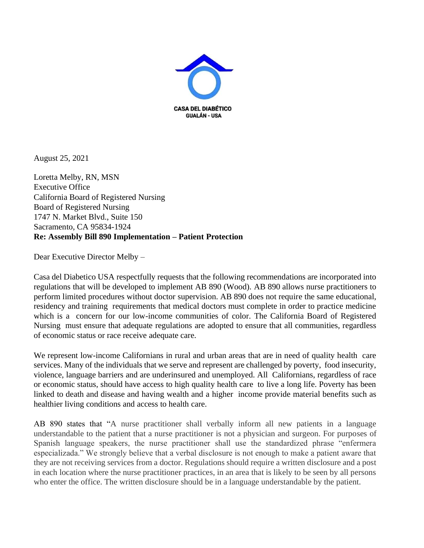

August 25, 2021

Loretta Melby, RN, MSN Executive Office California Board of Registered Nursing Board of Registered Nursing 1747 N. Market Blvd., Suite 150 Sacramento, CA 95834-1924 **Re: Assembly Bill 890 Implementation – Patient Protection** 

Dear Executive Director Melby –

Casa del Diabetico USA respectfully requests that the following recommendations are incorporated into regulations that will be developed to implement AB 890 (Wood). AB 890 allows nurse practitioners to perform limited procedures without doctor supervision. AB 890 does not require the same educational, residency and training requirements that medical doctors must complete in order to practice medicine which is a concern for our low-income communities of color. The California Board of Registered Nursing must ensure that adequate regulations are adopted to ensure that all communities, regardless of economic status or race receive adequate care.

We represent low-income Californians in rural and urban areas that are in need of quality health care services. Many of the individuals that we serve and represent are challenged by poverty, food insecurity, violence, language barriers and are underinsured and unemployed. All Californians, regardless of race or economic status, should have access to high quality health care to live a long life. Poverty has been linked to death and disease and having wealth and a higher income provide material benefits such as healthier living conditions and access to health care.

AB 890 states that "A nurse practitioner shall verbally inform all new patients in a language understandable to the patient that a nurse practitioner is not a physician and surgeon. For purposes of Spanish language speakers, the nurse practitioner shall use the standardized phrase "enfermera especializada." We strongly believe that a verbal disclosure is not enough to make a patient aware that they are not receiving services from a doctor. Regulations should require a written disclosure and a post in each location where the nurse practitioner practices, in an area that is likely to be seen by all persons who enter the office. The written disclosure should be in a language understandable by the patient.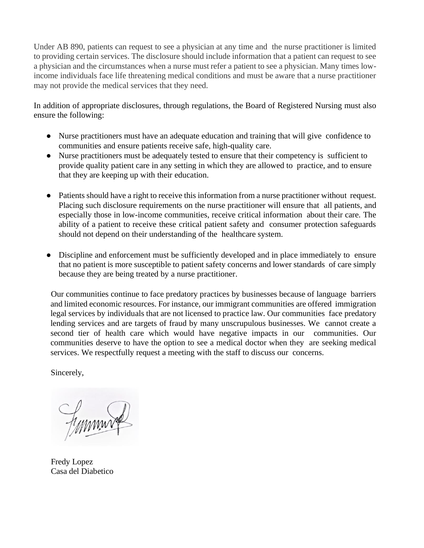Under AB 890, patients can request to see a physician at any time and the nurse practitioner is limited to providing certain services. The disclosure should include information that a patient can request to see a physician and the circumstances when a nurse must refer a patient to see a physician. Many times lowincome individuals face life threatening medical conditions and must be aware that a nurse practitioner may not provide the medical services that they need.

In addition of appropriate disclosures, through regulations, the Board of Registered Nursing must also ensure the following:

- Nurse practitioners must have an adequate education and training that will give confidence to communities and ensure patients receive safe, high-quality care.
- Nurse practitioners must be adequately tested to ensure that their competency is sufficient to provide quality patient care in any setting in which they are allowed to practice, and to ensure that they are keeping up with their education.
- Patients should have a right to receive this information from a nurse practitioner without request. Placing such disclosure requirements on the nurse practitioner will ensure that all patients, and especially those in low-income communities, receive critical information about their care. The ability of a patient to receive these critical patient safety and consumer protection safeguards should not depend on their understanding of the healthcare system.
- Discipline and enforcement must be sufficiently developed and in place immediately to ensure that no patient is more susceptible to patient safety concerns and lower standards of care simply because they are being treated by a nurse practitioner.

Our communities continue to face predatory practices by businesses because of language barriers and limited economic resources. For instance, our immigrant communities are offered immigration legal services by individuals that are not licensed to practice law. Our communities face predatory lending services and are targets of fraud by many unscrupulous businesses. We cannot create a second tier of health care which would have negative impacts in our communities. Our communities deserve to have the option to see a medical doctor when they are seeking medical services. We respectfully request a meeting with the staff to discuss our concerns.

Sincerely,

Finnin

Fredy Lopez Casa del Diabetico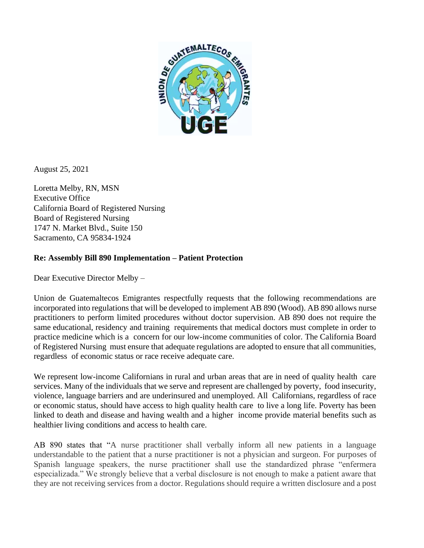

August 25, 2021

Loretta Melby, RN, MSN Executive Office California Board of Registered Nursing Board of Registered Nursing 1747 N. Market Blvd., Suite 150 Sacramento, CA 95834-1924

## **Re: Assembly Bill 890 Implementation – Patient Protection**

Dear Executive Director Melby –

Union de Guatemaltecos Emigrantes respectfully requests that the following recommendations are incorporated into regulations that will be developed to implement AB 890 (Wood). AB 890 allows nurse practitioners to perform limited procedures without doctor supervision. AB 890 does not require the same educational, residency and training requirements that medical doctors must complete in order to practice medicine which is a concern for our low-income communities of color. The California Board of Registered Nursing must ensure that adequate regulations are adopted to ensure that all communities, regardless of economic status or race receive adequate care.

We represent low-income Californians in rural and urban areas that are in need of quality health care services. Many of the individuals that we serve and represent are challenged by poverty, food insecurity, violence, language barriers and are underinsured and unemployed. All Californians, regardless of race or economic status, should have access to high quality health care to live a long life. Poverty has been linked to death and disease and having wealth and a higher income provide material benefits such as healthier living conditions and access to health care.

AB 890 states that "A nurse practitioner shall verbally inform all new patients in a language understandable to the patient that a nurse practitioner is not a physician and surgeon. For purposes of Spanish language speakers, the nurse practitioner shall use the standardized phrase "enfermera especializada." We strongly believe that a verbal disclosure is not enough to make a patient aware that they are not receiving services from a doctor. Regulations should require a written disclosure and a post